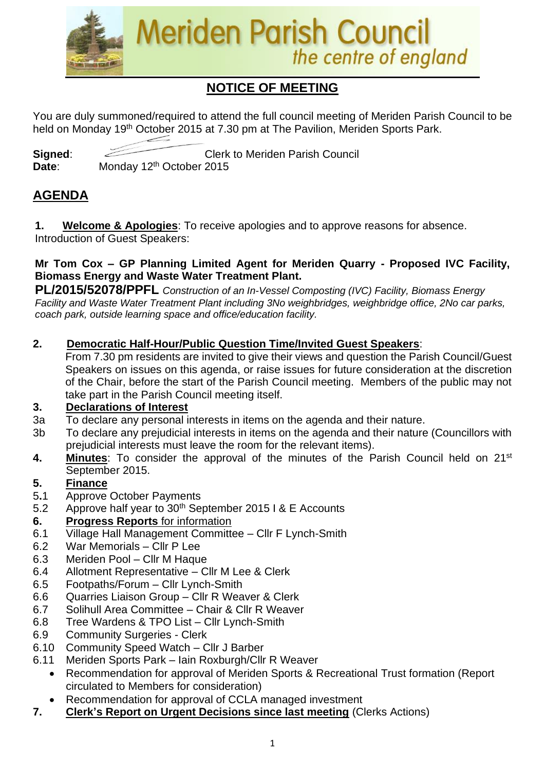

# **NOTICE OF MEETING**

You are duly summoned/required to attend the full council meeting of Meriden Parish Council to be held on Monday 19<sup>th</sup> October 2015 at 7.30 pm at The Pavilion, Meriden Sports Park.

**Signed:** Clerk to Meriden Parish Council Date: Monday 12<sup>th</sup> October 2015

## **AGENDA**

**1. Welcome & Apologies**: To receive apologies and to approve reasons for absence. Introduction of Guest Speakers:

#### **Mr Tom Cox – GP Planning Limited Agent for Meriden Quarry - Proposed IVC Facility, Biomass Energy and Waste Water Treatment Plant.**

**PL/2015/52078/PPFL** *Construction of an In-Vessel Composting (IVC) Facility, Biomass Energy Facility and Waste Water Treatment Plant including 3No weighbridges, weighbridge office, 2No car parks, coach park, outside learning space and office/education facility.*

#### **2. Democratic Half-Hour/Public Question Time/Invited Guest Speakers**:

From 7.30 pm residents are invited to give their views and question the Parish Council/Guest Speakers on issues on this agenda, or raise issues for future consideration at the discretion of the Chair, before the start of the Parish Council meeting. Members of the public may not take part in the Parish Council meeting itself.

#### **3. Declarations of Interest**

- 3a To declare any personal interests in items on the agenda and their nature.
- 3b To declare any prejudicial interests in items on the agenda and their nature (Councillors with prejudicial interests must leave the room for the relevant items).
- **4. Minutes**: To consider the approval of the minutes of the Parish Council held on 21st September 2015.

#### **5. Finance**

- 5**.**1 Approve October Payments
- 5.2 Approve half year to 30th September 2015 I & E Accounts

#### **6. Progress Reports** for information

- 6.1 Village Hall Management Committee Cllr F Lynch-Smith
- 6.2 War Memorials Cllr P Lee
- 6.3 Meriden Pool Cllr M Haque
- 6.4 Allotment Representative Cllr M Lee & Clerk
- 6.5 Footpaths/Forum Cllr Lynch-Smith
- 6.6 Quarries Liaison Group Cllr R Weaver & Clerk
- 6.7 Solihull Area Committee Chair & Cllr R Weaver
- 6.8 Tree Wardens & TPO List Cllr Lynch-Smith
- 6.9 Community Surgeries Clerk
- 6.10 Community Speed Watch Cllr J Barber
- 6.11 Meriden Sports Park Iain Roxburgh/Cllr R Weaver
	- Recommendation for approval of Meriden Sports & Recreational Trust formation (Report circulated to Members for consideration)
	- Recommendation for approval of CCLA managed investment
- **7. Clerk's Report on Urgent Decisions since last meeting** (Clerks Actions)